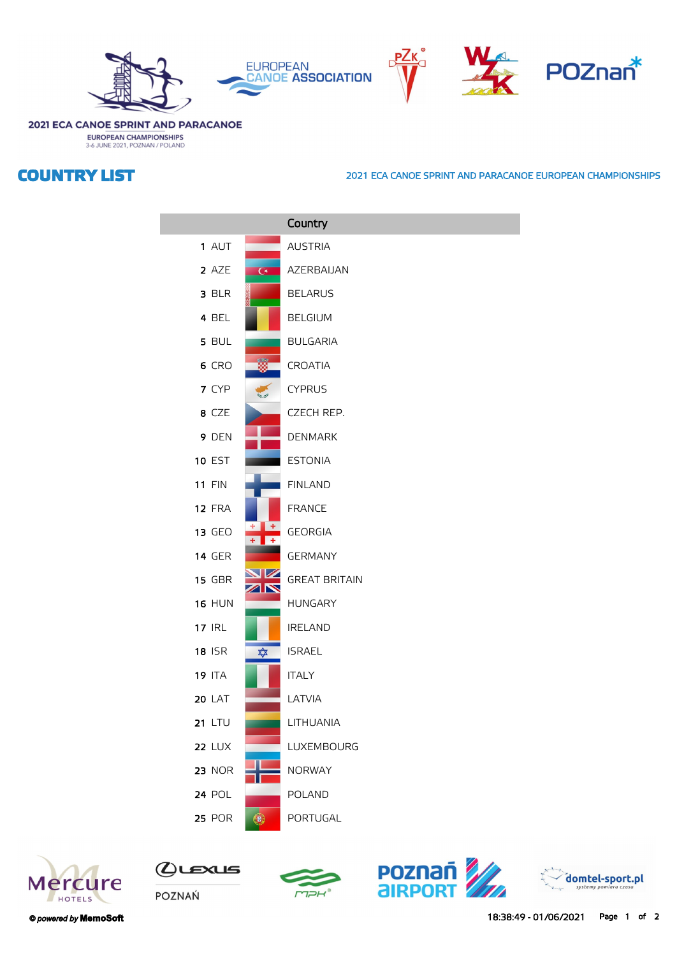







2021 ECA CANOE SPRINT AND PARACANOE

**EUROPEAN CHAMPIONSHIPS**<br>3-6 JUNE 2021, POZNAN / POLAND

## **COUNTRY LIST**

## **2021 ECA CANOE SPRINT AND PARACANOE EUROPEAN CHAMPIONSHIPS**

|               |                         | Country              |
|---------------|-------------------------|----------------------|
| 1 AUT         |                         | <b>AUSTRIA</b>       |
| 2 AZE         | $\overline{C}$          | AZERBAIJAN           |
| 3 BLR         |                         | <b>BELARUS</b>       |
| 4 BEL         |                         | <b>BELGIUM</b>       |
| 5 BUL         |                         | <b>BULGARIA</b>      |
| 6 CRO         |                         | CROATIA              |
| 7 CYP         |                         | <b>CYPRUS</b>        |
| 8 CZE         |                         | CZECH REP.           |
| 9 DEN         |                         | <b>DENMARK</b>       |
| <b>10 EST</b> |                         | <b>ESTONIA</b>       |
| <b>11 FIN</b> |                         | <b>FINLAND</b>       |
| <b>12 FRA</b> |                         | <b>FRANCE</b>        |
| 13 GEO        |                         | <b>GEORGIA</b>       |
| <b>14 GER</b> |                         | <b>GERMANY</b>       |
| <b>15 GBR</b> |                         | <b>GREAT BRITAIN</b> |
| <b>16 HUN</b> |                         | <b>HUNGARY</b>       |
| <b>17 IRL</b> |                         | <b>IRELAND</b>       |
| <b>18 ISR</b> | $\overline{\mathbf{r}}$ | <b>ISRAEL</b>        |
| <b>19 ITA</b> |                         | <b>ITALY</b>         |
| <b>20 LAT</b> |                         | LATVIA               |
| 21 LTU        |                         | LITHUANIA            |
| <b>22 LUX</b> |                         | <b>LUXEMBOURG</b>    |
| <b>23 NOR</b> |                         | <b>NORWAY</b>        |
| <b>24 POL</b> |                         | <b>POLAND</b>        |
| <b>25 POR</b> | 0                       | PORTUGAL             |



 $Q$ LEXUS POZNAŃ